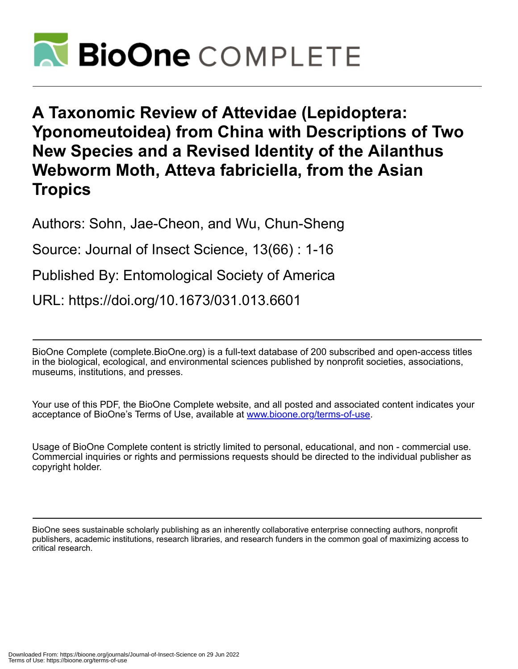

**A Taxonomic Review of Attevidae (Lepidoptera: Yponomeutoidea) from China with Descriptions of Two New Species and a Revised Identity of the Ailanthus Webworm Moth, Atteva fabriciella, from the Asian Tropics**

Authors: Sohn, Jae-Cheon, and Wu, Chun-Sheng

Source: Journal of Insect Science, 13(66) : 1-16

Published By: Entomological Society of America

URL: https://doi.org/10.1673/031.013.6601

BioOne Complete (complete.BioOne.org) is a full-text database of 200 subscribed and open-access titles in the biological, ecological, and environmental sciences published by nonprofit societies, associations, museums, institutions, and presses.

Your use of this PDF, the BioOne Complete website, and all posted and associated content indicates your acceptance of BioOne's Terms of Use, available at www.bioone.org/terms-of-use.

Usage of BioOne Complete content is strictly limited to personal, educational, and non - commercial use. Commercial inquiries or rights and permissions requests should be directed to the individual publisher as copyright holder.

BioOne sees sustainable scholarly publishing as an inherently collaborative enterprise connecting authors, nonprofit publishers, academic institutions, research libraries, and research funders in the common goal of maximizing access to critical research.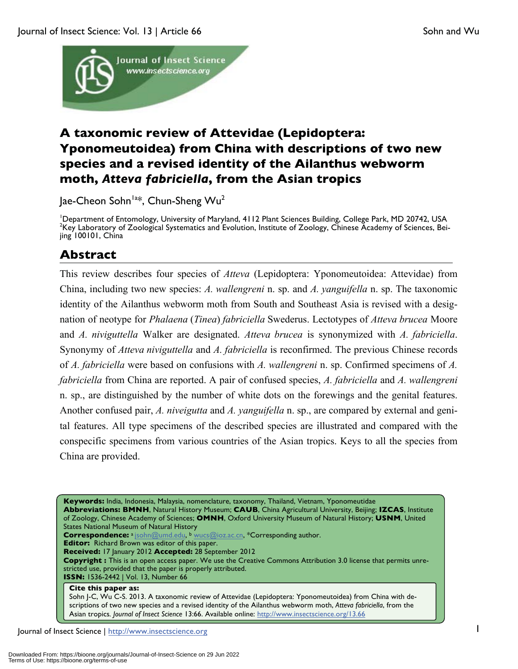Journal of Insect Science: Vol. 13 | Article 66 Sohn and Wu Sohn and Wu Sohn and Wu



# **A taxonomic review of Attevidae (Lepidoptera: Yponomeutoidea) from China with descriptions of two new species and a revised identity of the Ailanthus webworm moth,** *Atteva fabriciella***, from the Asian tropics**

Jae-Cheon Sohn<sup>la\*</sup>, Chun-Sheng Wu<sup>2</sup>

<sup>1</sup>Department of Entomology, University of Maryland, 4112 Plant Sciences Building, College Park, MD 20742, USA<br><sup>2</sup>Key Laboratory of Zoological Systematics and Evolution, Institute of Zoology, Chinase Academy of Sciences, B <sup>2</sup>Key Laboratory of Zoological Systematics and Evolution, Institute of Zoology, Chinese Academy of Sciences, Beijing 100101, China

# **Abstract**

This review describes four species of *Atteva* (Lepidoptera: Yponomeutoidea: Attevidae) from China, including two new species: *A. wallengreni* n. sp. and *A. yanguifella* n. sp. The taxonomic identity of the Ailanthus webworm moth from South and Southeast Asia is revised with a designation of neotype for *Phalaena* (*Tinea*) *fabriciella* Swederus. Lectotypes of *Atteva brucea* Moore and *A. niviguttella* Walker are designated. *Atteva brucea* is synonymized with *A. fabriciella*. Synonymy of *Atteva niviguttella* and *A. fabriciella* is reconfirmed. The previous Chinese records of *A. fabriciella* were based on confusions with *A. wallengreni* n. sp. Confirmed specimens of *A. fabriciella* from China are reported. A pair of confused species, *A. fabriciella* and *A. wallengreni* n. sp., are distinguished by the number of white dots on the forewings and the genital features. Another confused pair, *A. niveigutta* and *A. yanguifella* n. sp., are compared by external and genital features. All type specimens of the described species are illustrated and compared with the conspecific specimens from various countries of the Asian tropics. Keys to all the species from China are provided.

**Keywords:** India, Indonesia, Malaysia, nomenclature, taxonomy, Thailand, Vietnam, Yponomeutidae **Abbreviations: BMNH**, Natural History Museum; **CAUB**, China Agricultural University, Beijing; **IZCAS**, Institute of Zoology, Chinese Academy of Sciences; **OMNH**, Oxford University Museum of Natural History; **USNM**, United States National Museum of Natural History **Correspondence:** a jsohn@umd.edu, b wucs@ioz.ac.cn, \*Corresponding author. **Editor:** Richard Brown was editor of this paper. **Received:** 17 January 2012 **Accepted:** 28 September 2012 **Copyright :** This is an open access paper. We use the Creative Commons Attribution 3.0 license that permits unrestricted use, provided that the paper is properly attributed. **ISSN:** 1536-2442 | Vol. 13, Number 66 **Cite this paper as:** 

Sohn J-C, Wu C-S. 2013. A taxonomic review of Attevidae (Lepidoptera: Yponomeutoidea) from China with descriptions of two new species and a revised identity of the Ailanthus webworm moth, *Atteva fabriciella*, from the Asian tropics*. Journal of Insect Science* 13:66. Available online: http://www.insectscience.org/13.66

Journal of Insect Science | http://www.insectscience.org 1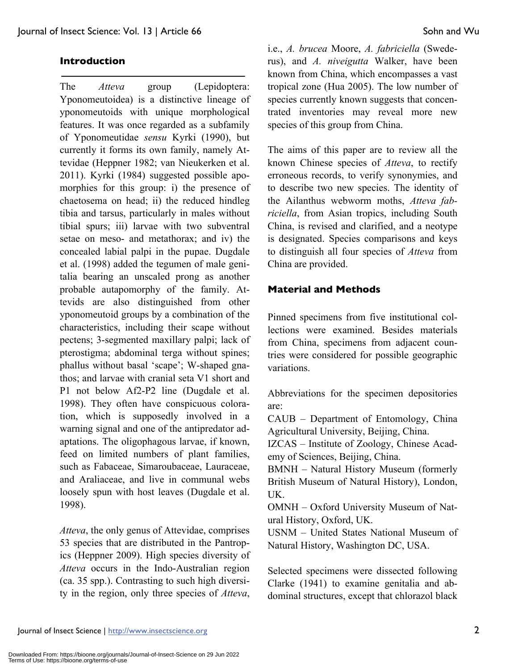The *Atteva* group (Lepidoptera: Yponomeutoidea) is a distinctive lineage of yponomeutoids with unique morphological features. It was once regarded as a subfamily of Yponomeutidae *sensu* Kyrki (1990), but currently it forms its own family, namely Attevidae (Heppner 1982; van Nieukerken et al. 2011). Kyrki (1984) suggested possible apomorphies for this group: i) the presence of chaetosema on head; ii) the reduced hindleg tibia and tarsus, particularly in males without tibial spurs; iii) larvae with two subventral setae on meso- and metathorax; and iv) the concealed labial palpi in the pupae. Dugdale et al. (1998) added the tegumen of male genitalia bearing an unscaled prong as another probable autapomorphy of the family. Attevids are also distinguished from other yponomeutoid groups by a combination of the characteristics, including their scape without pectens; 3-segmented maxillary palpi; lack of pterostigma; abdominal terga without spines; phallus without basal 'scape'; W-shaped gnathos; and larvae with cranial seta V1 short and P1 not below Af2-P2 line (Dugdale et al. 1998). They often have conspicuous coloration, which is supposedly involved in a warning signal and one of the antipredator adaptations. The oligophagous larvae, if known, feed on limited numbers of plant families, such as Fabaceae, Simaroubaceae, Lauraceae, and Araliaceae, and live in communal webs loosely spun with host leaves (Dugdale et al. 1998).

*Atteva*, the only genus of Attevidae, comprises 53 species that are distributed in the Pantropics (Heppner 2009). High species diversity of *Atteva* occurs in the Indo-Australian region (ca. 35 spp.). Contrasting to such high diversity in the region, only three species of *Atteva*, i.e., *A. brucea* Moore, *A. fabriciella* (Swederus), and *A. niveigutta* Walker, have been known from China, which encompasses a vast tropical zone (Hua 2005). The low number of species currently known suggests that concentrated inventories may reveal more new species of this group from China.

The aims of this paper are to review all the known Chinese species of *Atteva*, to rectify erroneous records, to verify synonymies, and to describe two new species. The identity of the Ailanthus webworm moths, *Atteva fabriciella*, from Asian tropics, including South China, is revised and clarified, and a neotype is designated. Species comparisons and keys to distinguish all four species of *Atteva* from China are provided.

### **Material and Methods**

Pinned specimens from five institutional collections were examined. Besides materials from China, specimens from adjacent countries were considered for possible geographic variations.

Abbreviations for the specimen depositories are:

CAUB – Department of Entomology, China Agricultural University, Beijing, China.

IZCAS – Institute of Zoology, Chinese Academy of Sciences, Beijing, China.

BMNH – Natural History Museum (formerly British Museum of Natural History), London, UK.

OMNH – Oxford University Museum of Natural History, Oxford, UK.

USNM – United States National Museum of Natural History, Washington DC, USA.

Selected specimens were dissected following Clarke (1941) to examine genitalia and abdominal structures, except that chlorazol black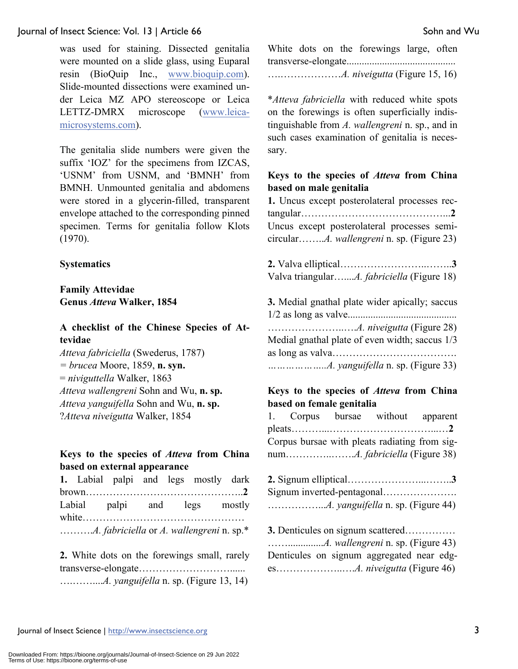was used for staining. Dissected genitalia were mounted on a slide glass, using Euparal resin (BioQuip Inc., www.bioquip.com). Slide-mounted dissections were examined under Leica MZ APO stereoscope or Leica LETTZ-DMRX microscope (www.leicamicrosystems.com).

The genitalia slide numbers were given the suffix 'IOZ' for the specimens from IZCAS, 'USNM' from USNM, and 'BMNH' from BMNH. Unmounted genitalia and abdomens were stored in a glycerin-filled, transparent envelope attached to the corresponding pinned specimen. Terms for genitalia follow Klots (1970).

#### **Systematics**

**Family Attevidae Genus** *Atteva* **Walker, 1854**

# **A checklist of the Chinese Species of Attevidae**

*Atteva fabriciella* (Swederus, 1787) *= brucea* Moore, 1859, **n. syn.** = *niviguttella* Walker, 1863 *Atteva wallengreni* Sohn and Wu, **n. sp.** *Atteva yanguifella* Sohn and Wu, **n. sp.** ?*Atteva niveigutta* Walker, 1854

### **Keys to the species of** *Atteva* **from China based on external appearance**

|  | 1. Labial palpi and legs mostly dark |  |  |
|--|--------------------------------------|--|--|
|  |                                      |  |  |
|  | Labial palpi and legs mostly         |  |  |
|  |                                      |  |  |
|  |                                      |  |  |

**2.** White dots on the forewings small, rarely transverse-elongate………………………...... ….……....*A. yanguifella* n. sp. (Figure 13, 14)

White dots on the forewings large, often transverse-elongate........................................... ….………………*A. niveigutta* (Figure 15, 16)

\**Atteva fabriciella* with reduced white spots on the forewings is often superficially indistinguishable from *A. wallengreni* n. sp., and in such cases examination of genitalia is necessary.

#### **Keys to the species of** *Atteva* **from China based on male genitalia**

**1.** Uncus except posterolateral processes rectangular……………………………………...**2** Uncus except posterolateral processes semicircular……..*A. wallengreni* n. sp. (Figure 23)

**2.** Valva elliptical……………………..……..**3** Valva triangular…....*A. fabriciella* (Figure 18)

| 3. Medial gnathal plate wider apically; saccus |
|------------------------------------------------|
|                                                |
|                                                |
| Medial gnathal plate of even width; saccus 1/3 |
|                                                |
|                                                |

#### **Keys to the species of** *Atteva* **from China based on female genitalia**

|  | 1. Corpus bursae without apparent             |  |
|--|-----------------------------------------------|--|
|  |                                               |  |
|  | Corpus bursae with pleats radiating from sig- |  |
|  |                                               |  |

**3.** Denticules on signum scattered…………… ……..............*A. wallengreni* n. sp. (Figure 43) Denticules on signum aggregated near edges………………..….*A. niveigutta* (Figure 46)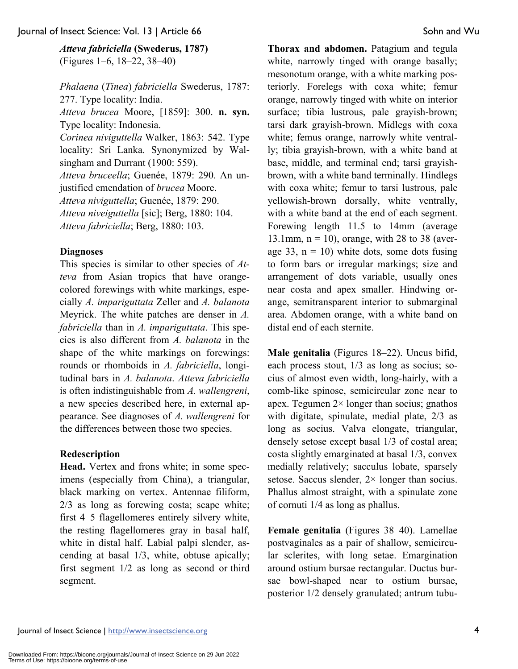*Atteva fabriciella* **(Swederus, 1787)**  (Figures 1–6, 18–22, 38–40)

*Phalaena* (*Tinea*) *fabriciella* Swederus, 1787: 277. Type locality: India. *Atteva brucea* Moore, [1859]: 300. **n. syn.**  Type locality: Indonesia. *Corinea niviguttella* Walker, 1863: 542. Type locality: Sri Lanka. Synonymized by Walsingham and Durrant (1900: 559). *Atteva bruceella*; Guenée, 1879: 290. An unjustified emendation of *brucea* Moore. *Atteva niviguttella*; Guenée, 1879: 290. *Atteva niveiguttella* [sic]; Berg, 1880: 104. *Atteva fabriciella*; Berg, 1880: 103.

#### **Diagnoses**

This species is similar to other species of *Atteva* from Asian tropics that have orangecolored forewings with white markings, especially *A. impariguttata* Zeller and *A. balanota* Meyrick. The white patches are denser in *A. fabriciella* than in *A. impariguttata*. This species is also different from *A. balanota* in the shape of the white markings on forewings: rounds or rhomboids in *A. fabriciella*, longitudinal bars in *A. balanota*. *Atteva fabriciella* is often indistinguishable from *A. wallengreni*, a new species described here, in external appearance. See diagnoses of *A. wallengreni* for the differences between those two species.

#### **Redescription**

**Head.** Vertex and frons white; in some specimens (especially from China), a triangular, black marking on vertex. Antennae filiform, 2/3 as long as forewing costa; scape white; first 4–5 flagellomeres entirely silvery white, the resting flagellomeres gray in basal half, white in distal half. Labial palpi slender, ascending at basal 1/3, white, obtuse apically; first segment 1/2 as long as second or third segment.

**Thorax and abdomen.** Patagium and tegula white, narrowly tinged with orange basally; mesonotum orange, with a white marking posteriorly. Forelegs with coxa white; femur orange, narrowly tinged with white on interior surface; tibia lustrous, pale grayish-brown; tarsi dark grayish-brown. Midlegs with coxa white; femus orange, narrowly white ventrally; tibia grayish-brown, with a white band at base, middle, and terminal end; tarsi grayishbrown, with a white band terminally. Hindlegs with coxa white; femur to tarsi lustrous, pale yellowish-brown dorsally, white ventrally, with a white band at the end of each segment. Forewing length 11.5 to 14mm (average 13.1mm,  $n = 10$ ), orange, with 28 to 38 (average 33,  $n = 10$ ) white dots, some dots fusing to form bars or irregular markings; size and arrangement of dots variable, usually ones near costa and apex smaller. Hindwing orange, semitransparent interior to submarginal area. Abdomen orange, with a white band on distal end of each sternite.

**Male genitalia** (Figures 18–22). Uncus bifid, each process stout, 1/3 as long as socius; socius of almost even width, long-hairly, with a comb-like spinose, semicircular zone near to apex. Tegumen 2× longer than socius; gnathos with digitate, spinulate, medial plate, 2/3 as long as socius. Valva elongate, triangular, densely setose except basal 1/3 of costal area; costa slightly emarginated at basal 1/3, convex medially relatively; sacculus lobate, sparsely setose. Saccus slender, 2× longer than socius. Phallus almost straight, with a spinulate zone of cornuti 1/4 as long as phallus.

**Female genitalia** (Figures 38–40). Lamellae postvaginales as a pair of shallow, semicircular sclerites, with long setae. Emargination around ostium bursae rectangular. Ductus bursae bowl-shaped near to ostium bursae, posterior 1/2 densely granulated; antrum tubu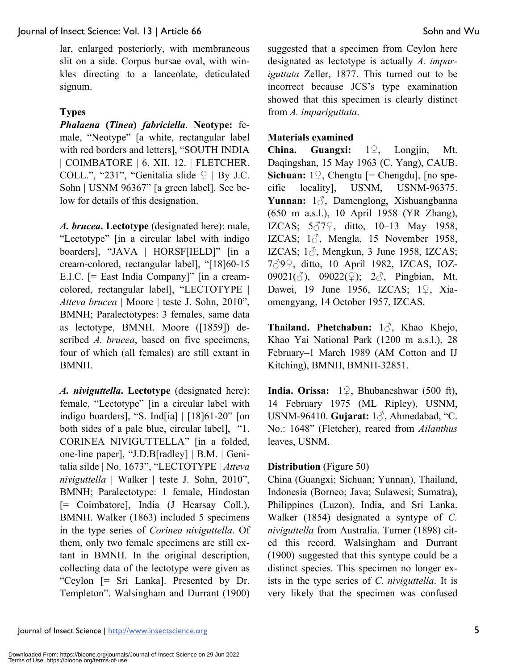lar, enlarged posteriorly, with membraneous slit on a side. Corpus bursae oval, with winkles directing to a lanceolate, deticulated signum.

# **Types**

*Phalaena* **(***Tinea***)** *fabriciella*. **Neotype:** female, "Neotype" [a white, rectangular label with red borders and letters], "SOUTH INDIA | COIMBATORE | 6. XII. 12. | FLETCHER. COLL.", "231", "Genitalia slide  $\varphi$  | By J.C. Sohn | USNM 96367" [a green label]. See below for details of this designation.

*A. brucea***. Lectotype** (designated here): male, "Lectotype" [in a circular label with indigo boarders], "JAVA | HORSF[IELD]" [in a cream-colored, rectangular label], "[18]60-15 E.I.C. [= East India Company]" [in a creamcolored, rectangular label], "LECTOTYPE | *Atteva brucea* | Moore | teste J. Sohn, 2010", BMNH; Paralectotypes: 3 females, same data as lectotype, BMNH. Moore ([1859]) described *A. brucea*, based on five specimens, four of which (all females) are still extant in BMNH.

*A. niviguttella***. Lectotype** (designated here): female, "Lectotype" [in a circular label with indigo boarders], "S. Ind[ia] | [18]61-20" [on both sides of a pale blue, circular label], "1. CORINEA NIVIGUTTELLA" [in a folded, one-line paper], "J.D.B[radley] | B.M. | Genitalia silde | No. 1673", "LECTOTYPE | *Atteva niviguttella* | Walker | teste J. Sohn, 2010", BMNH; Paralectotype: 1 female, Hindostan [= Coimbatore], India (J Hearsay Coll.), BMNH. Walker (1863) included 5 specimens in the type series of *Corinea niviguttella*. Of them, only two female specimens are still extant in BMNH. In the original description, collecting data of the lectotype were given as "Ceylon [= Sri Lanka]. Presented by Dr. Templeton". Walsingham and Durrant (1900) suggested that a specimen from Ceylon here designated as lectotype is actually *A. impariguttata* Zeller, 1877. This turned out to be incorrect because JCS's type examination showed that this specimen is clearly distinct from *A. impariguttata*.

# **Materials examined**

**China. Guangxi:** 1♀, Longjin, Mt. Daqingshan, 15 May 1963 (C. Yang), CAUB. **Sichuan:**  $1\degree$ , Chengtu [= Chengdu], [no specific locality], USNM, USNM-96375. **Yunnan:** 1♂, Damenglong, Xishuangbanna (650 m a.s.l.), 10 April 1958 (YR Zhang), IZCAS; 5♂7♀, ditto, 10–13 May 1958, IZCAS;  $1\delta$ , Mengla, 15 November 1958, IZCAS;  $1\textdegree$ , Mengkun, 3 June 1958, IZCAS; 7♂9♀, ditto, 10 April 1982, IZCAS, IOZ-09021( $\circled{3}$ ), 09022( $\circled{2}$ ); 2 $\circled{3}$ , Pingbian, Mt. Dawei, 19 June 1956, IZCAS; 1♀, Xiaomengyang, 14 October 1957, IZCAS.

**Thailand. Phetchabun:** 1♂, Khao Khejo, Khao Yai National Park (1200 m a.s.l.), 28 February–1 March 1989 (AM Cotton and IJ Kitching), BMNH, BMNH-32851.

**India. Orissa:** 1♀, Bhubaneshwar (500 ft), 14 February 1975 (ML Ripley), USNM, USNM-96410. **Gujarat:** 1♂, Ahmedabad, "C. No.: 1648" (Fletcher), reared from *Ailanthus* leaves, USNM.

# **Distribution** (Figure 50)

China (Guangxi; Sichuan; Yunnan), Thailand, Indonesia (Borneo; Java; Sulawesi; Sumatra), Philippines (Luzon), India, and Sri Lanka. Walker (1854) designated a syntype of *C. niviguttella* from Australia. Turner (1898) cited this record. Walsingham and Durrant (1900) suggested that this syntype could be a distinct species. This specimen no longer exists in the type series of *C. niviguttella*. It is very likely that the specimen was confused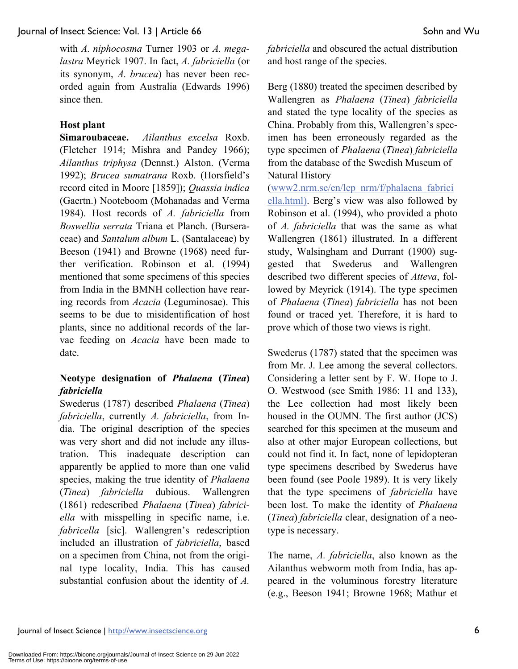with *A. niphocosma* Turner 1903 or *A. megalastra* Meyrick 1907. In fact, *A. fabriciella* (or its synonym, *A. brucea*) has never been recorded again from Australia (Edwards 1996) since then.

### **Host plant**

**Simaroubaceae.** *Ailanthus excelsa* Roxb. (Fletcher 1914; Mishra and Pandey 1966); *Ailanthus triphysa* (Dennst.) Alston. (Verma 1992); *Brucea sumatrana* Roxb. (Horsfield's record cited in Moore [1859]); *Quassia indica* (Gaertn.) Nooteboom (Mohanadas and Verma 1984). Host records of *A. fabriciella* from *Boswellia serrata* Triana et Planch. (Burseraceae) and *Santalum album* L. (Santalaceae) by Beeson (1941) and Browne (1968) need further verification. Robinson et al. (1994) mentioned that some specimens of this species from India in the BMNH collection have rearing records from *Acacia* (Leguminosae). This seems to be due to misidentification of host plants, since no additional records of the larvae feeding on *Acacia* have been made to date.

# **Neotype designation of** *Phalaena* **(***Tinea***)** *fabriciella*

Swederus (1787) described *Phalaena* (*Tinea*) *fabriciella*, currently *A. fabriciella*, from India. The original description of the species was very short and did not include any illustration. This inadequate description can apparently be applied to more than one valid species, making the true identity of *Phalaena*  (*Tinea*) *fabriciella* dubious. Wallengren (1861) redescribed *Phalaena* (*Tinea*) *fabriciella* with misspelling in specific name, i.e. *fabricella* [sic]. Wallengren's redescription included an illustration of *fabriciella*, based on a specimen from China, not from the original type locality, India. This has caused substantial confusion about the identity of *A.* 

*fabriciella* and obscured the actual distribution and host range of the species.

Berg (1880) treated the specimen described by Wallengren as *Phalaena* (*Tinea*) *fabriciella* and stated the type locality of the species as China. Probably from this, Wallengren's specimen has been erroneously regarded as the type specimen of *Phalaena* (*Tinea*) *fabriciella* from the database of the Swedish Museum of Natural History

(www2.nrm.se/en/lep\_nrm/f/phalaena\_fabrici ella.html). Berg's view was also followed by Robinson et al. (1994), who provided a photo of *A. fabriciella* that was the same as what Wallengren (1861) illustrated. In a different study, Walsingham and Durrant (1900) suggested that Swederus and Wallengren described two different species of *Atteva*, followed by Meyrick (1914). The type specimen of *Phalaena* (*Tinea*) *fabriciella* has not been found or traced yet. Therefore, it is hard to prove which of those two views is right.

Swederus (1787) stated that the specimen was from Mr. J. Lee among the several collectors. Considering a letter sent by F. W. Hope to J. O. Westwood (see Smith 1986: 11 and 133), the Lee collection had most likely been housed in the OUMN. The first author (JCS) searched for this specimen at the museum and also at other major European collections, but could not find it. In fact, none of lepidopteran type specimens described by Swederus have been found (see Poole 1989). It is very likely that the type specimens of *fabriciella* have been lost. To make the identity of *Phalaena*  (*Tinea*) *fabriciella* clear, designation of a neotype is necessary.

The name, *A. fabriciella*, also known as the Ailanthus webworm moth from India, has appeared in the voluminous forestry literature (e.g., Beeson 1941; Browne 1968; Mathur et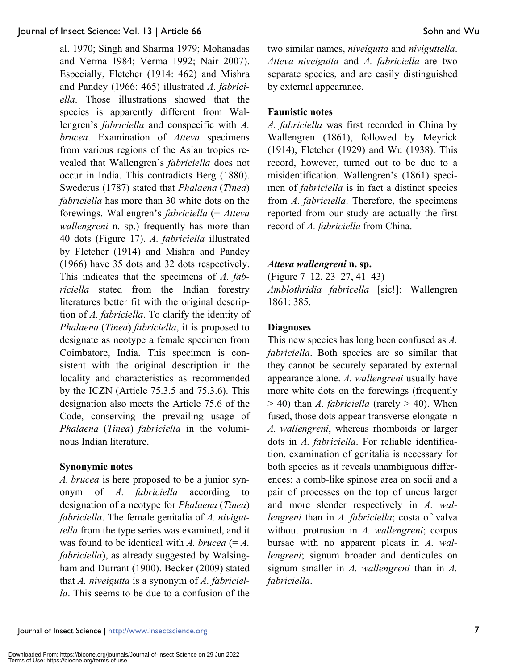al. 1970; Singh and Sharma 1979; Mohanadas and Verma 1984; Verma 1992; Nair 2007). Especially, Fletcher (1914: 462) and Mishra and Pandey (1966: 465) illustrated *A. fabriciella*. Those illustrations showed that the species is apparently different from Wallengren's *fabriciella* and conspecific with *A. brucea*. Examination of *Atteva* specimens from various regions of the Asian tropics revealed that Wallengren's *fabriciella* does not occur in India. This contradicts Berg (1880). Swederus (1787) stated that *Phalaena* (*Tinea*) *fabriciella* has more than 30 white dots on the forewings. Wallengren's *fabriciella* (= *Atteva wallengreni* n. sp.) frequently has more than 40 dots (Figure 17). *A. fabriciella* illustrated by Fletcher (1914) and Mishra and Pandey (1966) have 35 dots and 32 dots respectively. This indicates that the specimens of *A. fabriciella* stated from the Indian forestry literatures better fit with the original description of *A. fabriciella*. To clarify the identity of *Phalaena* (*Tinea*) *fabriciella*, it is proposed to designate as neotype a female specimen from Coimbatore, India. This specimen is consistent with the original description in the locality and characteristics as recommended by the ICZN (Article 75.3.5 and 75.3.6). This designation also meets the Article 75.6 of the Code, conserving the prevailing usage of *Phalaena* (*Tinea*) *fabriciella* in the voluminous Indian literature.

### **Synonymic notes**

*A. brucea* is here proposed to be a junior synonym of *A. fabriciella* according to designation of a neotype for *Phalaena* (*Tinea*) *fabriciella*. The female genitalia of *A. niviguttella* from the type series was examined, and it was found to be identical with *A. brucea*  $(= A.$ *fabriciella*), as already suggested by Walsingham and Durrant (1900). Becker (2009) stated that *A. niveigutta* is a synonym of *A. fabriciella*. This seems to be due to a confusion of the two similar names, *niveigutta* and *niviguttella*. *Atteva niveigutta* and *A. fabriciella* are two separate species, and are easily distinguished by external appearance.

### **Faunistic notes**

*A. fabriciella* was first recorded in China by Wallengren (1861), followed by Meyrick (1914), Fletcher (1929) and Wu (1938). This record, however, turned out to be due to a misidentification. Wallengren's (1861) specimen of *fabriciella* is in fact a distinct species from *A. fabriciella*. Therefore, the specimens reported from our study are actually the first record of *A. fabriciella* from China.

### *Atteva wallengreni* **n. sp.**

(Figure 7–12, 23–27, 41–43)

*Amblothridia fabricella* [sic!]: Wallengren 1861: 385.

### **Diagnoses**

This new species has long been confused as *A. fabriciella*. Both species are so similar that they cannot be securely separated by external appearance alone. *A. wallengreni* usually have more white dots on the forewings (frequently  $>$  40) than *A. fabriciella* (rarely  $>$  40). When fused, those dots appear transverse-elongate in *A. wallengreni*, whereas rhomboids or larger dots in *A. fabriciella*. For reliable identification, examination of genitalia is necessary for both species as it reveals unambiguous differences: a comb-like spinose area on socii and a pair of processes on the top of uncus larger and more slender respectively in *A. wallengreni* than in *A. fabriciella*; costa of valva without protrusion in *A. wallengreni*; corpus bursae with no apparent pleats in *A. wallengreni*; signum broader and denticules on signum smaller in *A. wallengreni* than in *A. fabriciella*.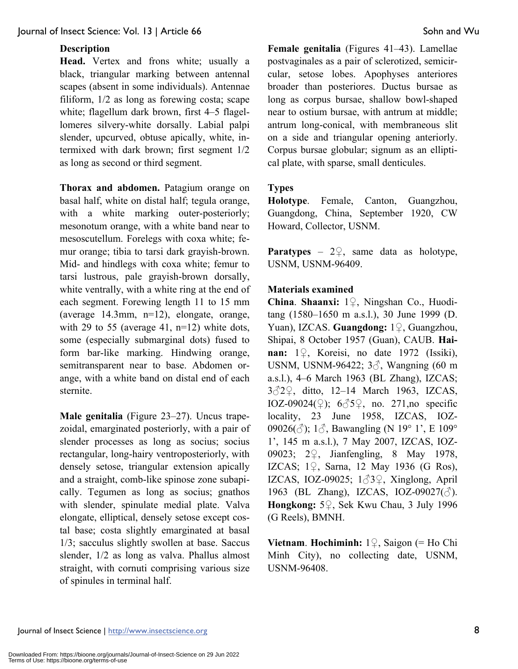#### **Description**

**Head.** Vertex and frons white; usually a black, triangular marking between antennal scapes (absent in some individuals). Antennae filiform, 1/2 as long as forewing costa; scape white; flagellum dark brown, first 4–5 flagellomeres silvery-white dorsally. Labial palpi slender, upcurved, obtuse apically, white, intermixed with dark brown; first segment 1/2 as long as second or third segment.

**Thorax and abdomen.** Patagium orange on basal half, white on distal half; tegula orange, with a white marking outer-posteriorly; mesonotum orange, with a white band near to mesoscutellum. Forelegs with coxa white; femur orange; tibia to tarsi dark grayish-brown. Mid- and hindlegs with coxa white; femur to tarsi lustrous, pale grayish-brown dorsally, white ventrally, with a white ring at the end of each segment. Forewing length 11 to 15 mm (average 14.3mm, n=12), elongate, orange, with 29 to 55 (average 41,  $n=12$ ) white dots, some (especially submarginal dots) fused to form bar-like marking. Hindwing orange, semitransparent near to base. Abdomen orange, with a white band on distal end of each sternite.

**Male genitalia** (Figure 23–27). Uncus trapezoidal, emarginated posteriorly, with a pair of slender processes as long as socius; socius rectangular, long-hairy ventroposteriorly, with densely setose, triangular extension apically and a straight, comb-like spinose zone subapically. Tegumen as long as socius; gnathos with slender, spinulate medial plate. Valva elongate, elliptical, densely setose except costal base; costa slightly emarginated at basal 1/3; sacculus slightly swollen at base. Saccus slender, 1/2 as long as valva. Phallus almost straight, with cornuti comprising various size of spinules in terminal half.

**Female genitalia** (Figures 41–43). Lamellae postvaginales as a pair of sclerotized, semicircular, setose lobes. Apophyses anteriores broader than posteriores. Ductus bursae as long as corpus bursae, shallow bowl-shaped near to ostium bursae, with antrum at middle; antrum long-conical, with membraneous slit on a side and triangular opening anteriorly. Corpus bursae globular; signum as an elliptical plate, with sparse, small denticules.

### **Types**

**Holotype**. Female, Canton, Guangzhou, Guangdong, China, September 1920, CW Howard, Collector, USNM.

**Paratypes** – 2♀, same data as holotype, USNM, USNM-96409.

#### **Materials examined**

**China**. **Shaanxi:** 1♀, Ningshan Co., Huoditang (1580–1650 m a.s.l.), 30 June 1999 (D. Yuan), IZCAS. **Guangdong:** 1♀, Guangzhou, Shipai, 8 October 1957 (Guan), CAUB. **Hainan:** 1♀, Koreisi, no date 1972 (Issiki), USNM, USNM-96422; 3♂, Wangning (60 m a.s.l.), 4–6 March 1963 (BL Zhang), IZCAS; 3♂2♀, ditto, 12–14 March 1963, IZCAS, IOZ-09024( $\circ$ ); 6 $\circ$ 5 $\circ$ , no. 271, no specific locality, 23 June 1958, IZCAS, IOZ-09026( $\circ$ ); 1 $\circ$ , Bawangling (N 19° 1', E 109° 1', 145 m a.s.l.), 7 May 2007, IZCAS, IOZ-09023; 2♀, Jianfengling, 8 May 1978, IZCAS; 1♀, Sarna, 12 May 1936 (G Ros), IZCAS, IOZ-09025;  $1\overset{\wedge}{\circ}3\overset{\wedge}{\circ}$ , Xinglong, April 1963 (BL Zhang), IZCAS, IOZ-09027(3). **Hongkong:** 5♀, Sek Kwu Chau, 3 July 1996 (G Reels), BMNH.

**Vietnam**. **Hochiminh:** 1♀, Saigon (= Ho Chi Minh City), no collecting date, USNM, USNM-96408.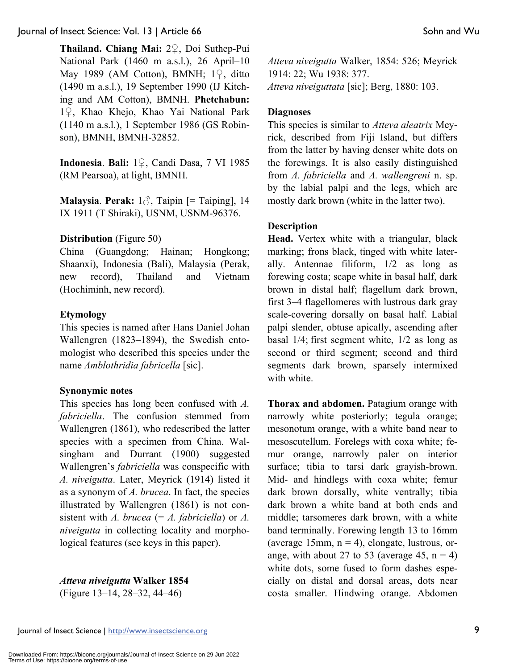**Thailand. Chiang Mai:** 2♀, Doi Suthep-Pui National Park (1460 m a.s.l.), 26 April–10 May 1989 (AM Cotton), BMNH; 1♀, ditto (1490 m a.s.l.), 19 September 1990 (IJ Kitching and AM Cotton), BMNH. **Phetchabun:** 1♀, Khao Khejo, Khao Yai National Park (1140 m a.s.l.), 1 September 1986 (GS Robinson), BMNH, BMNH-32852.

**Indonesia**. **Bali:** 1♀, Candi Dasa, 7 VI 1985 (RM Pearsoa), at light, BMNH.

**Malaysia**. **Perak:** 1♂, Taipin [= Taiping], 14 IX 1911 (T Shiraki), USNM, USNM-96376.

### **Distribution** (Figure 50)

China (Guangdong; Hainan; Hongkong; Shaanxi), Indonesia (Bali), Malaysia (Perak, new record), Thailand and Vietnam (Hochiminh, new record).

#### **Etymology**

This species is named after Hans Daniel Johan Wallengren (1823–1894), the Swedish entomologist who described this species under the name *Amblothridia fabricella* [sic].

#### **Synonymic notes**

This species has long been confused with *A. fabriciella*. The confusion stemmed from Wallengren (1861), who redescribed the latter species with a specimen from China. Walsingham and Durrant (1900) suggested Wallengren's *fabriciella* was conspecific with *A. niveigutta*. Later, Meyrick (1914) listed it as a synonym of *A. brucea*. In fact, the species illustrated by Wallengren (1861) is not consistent with *A. brucea* (= *A. fabriciella*) or *A. niveigutta* in collecting locality and morphological features (see keys in this paper).

*Atteva niveigutta* **Walker 1854** 

(Figure 13–14, 28–32, 44–46)

*Atteva niveigutta* Walker, 1854: 526; Meyrick 1914: 22; Wu 1938: 377. *Atteva niveiguttata* [sic]; Berg, 1880: 103.

### **Diagnoses**

This species is similar to *Atteva aleatrix* Meyrick, described from Fiji Island, but differs from the latter by having denser white dots on the forewings. It is also easily distinguished from *A. fabriciella* and *A. wallengreni* n. sp. by the labial palpi and the legs, which are mostly dark brown (white in the latter two).

### **Description**

**Head.** Vertex white with a triangular, black marking; frons black, tinged with white laterally. Antennae filiform, 1/2 as long as forewing costa; scape white in basal half, dark brown in distal half; flagellum dark brown, first 3–4 flagellomeres with lustrous dark gray scale-covering dorsally on basal half. Labial palpi slender, obtuse apically, ascending after basal 1/4; first segment white, 1/2 as long as second or third segment; second and third segments dark brown, sparsely intermixed with white.

**Thorax and abdomen.** Patagium orange with narrowly white posteriorly; tegula orange; mesonotum orange, with a white band near to mesoscutellum. Forelegs with coxa white; femur orange, narrowly paler on interior surface; tibia to tarsi dark grayish-brown. Mid- and hindlegs with coxa white; femur dark brown dorsally, white ventrally; tibia dark brown a white band at both ends and middle; tarsomeres dark brown, with a white band terminally. Forewing length 13 to 16mm (average 15mm,  $n = 4$ ), elongate, lustrous, orange, with about 27 to 53 (average 45,  $n = 4$ ) white dots, some fused to form dashes especially on distal and dorsal areas, dots near costa smaller. Hindwing orange. Abdomen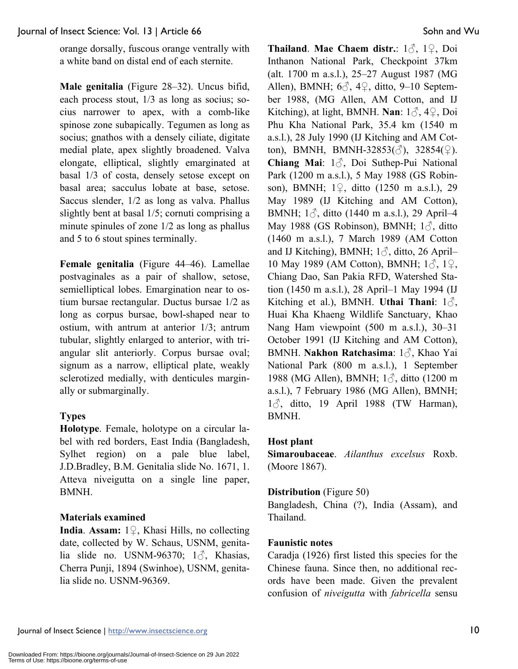orange dorsally, fuscous orange ventrally with a white band on distal end of each sternite.

**Male genitalia** (Figure 28–32). Uncus bifid, each process stout, 1/3 as long as socius; socius narrower to apex, with a comb-like spinose zone subapically. Tegumen as long as socius; gnathos with a densely ciliate, digitate medial plate, apex slightly broadened. Valva elongate, elliptical, slightly emarginated at basal 1/3 of costa, densely setose except on basal area; sacculus lobate at base, setose. Saccus slender, 1/2 as long as valva. Phallus slightly bent at basal 1/5; cornuti comprising a minute spinules of zone 1/2 as long as phallus and 5 to 6 stout spines terminally.

**Female genitalia** (Figure 44–46). Lamellae postvaginales as a pair of shallow, setose, semielliptical lobes. Emargination near to ostium bursae rectangular. Ductus bursae 1/2 as long as corpus bursae, bowl-shaped near to ostium, with antrum at anterior 1/3; antrum tubular, slightly enlarged to anterior, with triangular slit anteriorly. Corpus bursae oval; signum as a narrow, elliptical plate, weakly sclerotized medially, with denticules marginally or submarginally.

# **Types**

**Holotype**. Female, holotype on a circular label with red borders, East India (Bangladesh, Sylhet region) on a pale blue label, J.D.Bradley, B.M. Genitalia slide No. 1671, 1. Atteva niveigutta on a single line paper, BMNH.

# **Materials examined**

**India**. **Assam:** 1♀, Khasi Hills, no collecting date, collected by W. Schaus, USNM, genitalia slide no. USNM-96370;  $1\delta$ , Khasias, Cherra Punji, 1894 (Swinhoe), USNM, genitalia slide no. USNM-96369.

**Thailand**. **Mae Chaem distr.**: 1♂, 1♀, Doi Inthanon National Park, Checkpoint 37km (alt. 1700 m a.s.l.), 25–27 August 1987 (MG Allen), BMNH;  $6\textdegree$ ,  $4\textdegree$ , ditto, 9–10 September 1988, (MG Allen, AM Cotton, and IJ Kitching), at light, BMNH. **Nan**: 1♂, 4♀, Doi Phu Kha National Park, 35.4 km (1540 m a.s.l.), 28 July 1990 (IJ Kitching and AM Cotton), BMNH, BMNH-32853( $\Diamond$ ), 32854( $\Diamond$ ). **Chiang Mai**: 1♂, Doi Suthep-Pui National Park (1200 m a.s.l.), 5 May 1988 (GS Robinson), BMNH; 1♀, ditto (1250 m a.s.l.), 29 May 1989 (IJ Kitching and AM Cotton), BMNH;  $1\delta$ , ditto (1440 m a.s.l.), 29 April–4 May 1988 (GS Robinson), BMNH;  $1\delta$ , ditto (1460 m a.s.l.), 7 March 1989 (AM Cotton and IJ Kitching), BMNH;  $1\delta$ , ditto, 26 April– 10 May 1989 (AM Cotton), BMNH; 1♂, 1♀, Chiang Dao, San Pakia RFD, Watershed Station (1450 m a.s.l.), 28 April–1 May 1994 (IJ Kitching et al.), BMNH. **Uthai Thani**: 1♂, Huai Kha Khaeng Wildlife Sanctuary, Khao Nang Ham viewpoint (500 m a.s.l.), 30–31 October 1991 (IJ Kitching and AM Cotton), BMNH. **Nakhon Ratchasima**: 1♂, Khao Yai National Park (800 m a.s.l.), 1 September 1988 (MG Allen), BMNH; 1♂, ditto (1200 m a.s.l.), 7 February 1986 (MG Allen), BMNH; 1♂, ditto, 19 April 1988 (TW Harman), BMNH.

# **Host plant**

**Simaroubaceae**. *Ailanthus excelsus* Roxb. (Moore 1867).

### **Distribution** (Figure 50)

Bangladesh, China (?), India (Assam), and Thailand.

### **Faunistic notes**

Caradja (1926) first listed this species for the Chinese fauna. Since then, no additional records have been made. Given the prevalent confusion of *niveigutta* with *fabricella* sensu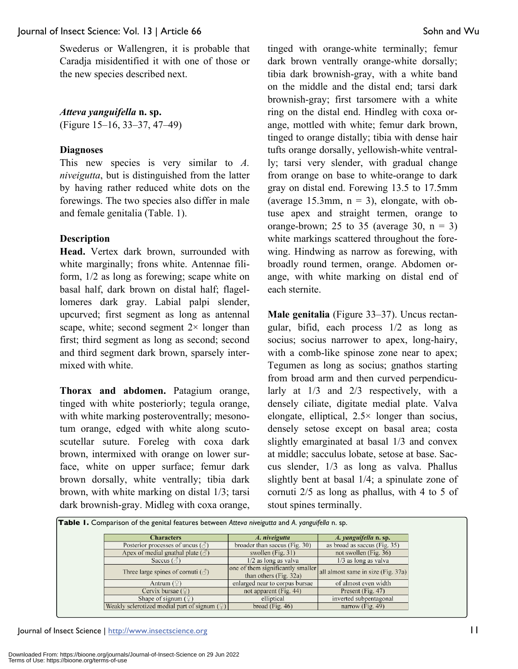Swederus or Wallengren, it is probable that Caradja misidentified it with one of those or the new species described next.

#### *Atteva yanguifella* **n. sp.**

(Figure 15–16, 33–37, 47–49)

#### **Diagnoses**

This new species is very similar to *A. niveigutta*, but is distinguished from the latter by having rather reduced white dots on the forewings. The two species also differ in male and female genitalia (Table. 1).

#### **Description**

**Head.** Vertex dark brown, surrounded with white marginally; frons white. Antennae filiform, 1/2 as long as forewing; scape white on basal half, dark brown on distal half; flagellomeres dark gray. Labial palpi slender, upcurved; first segment as long as antennal scape, white; second segment  $2 \times$  longer than first; third segment as long as second; second and third segment dark brown, sparsely intermixed with white.

**Thorax and abdomen.** Patagium orange, tinged with white posteriorly; tegula orange, with white marking posteroventrally; mesonotum orange, edged with white along scutoscutellar suture. Foreleg with coxa dark brown, intermixed with orange on lower surface, white on upper surface; femur dark brown dorsally, white ventrally; tibia dark brown, with white marking on distal 1/3; tarsi dark brownish-gray. Midleg with coxa orange, tinged with orange-white terminally; femur dark brown ventrally orange-white dorsally; tibia dark brownish-gray, with a white band on the middle and the distal end; tarsi dark brownish-gray; first tarsomere with a white ring on the distal end. Hindleg with coxa orange, mottled with white; femur dark brown, tinged to orange distally; tibia with dense hair tufts orange dorsally, yellowish-white ventrally; tarsi very slender, with gradual change from orange on base to white-orange to dark gray on distal end. Forewing 13.5 to 17.5mm (average 15.3mm,  $n = 3$ ), elongate, with obtuse apex and straight termen, orange to orange-brown; 25 to 35 (average 30,  $n = 3$ ) white markings scattered throughout the forewing. Hindwing as narrow as forewing, with broadly round termen, orange. Abdomen orange, with white marking on distal end of each sternite.

**Male genitalia** (Figure 33–37). Uncus rectangular, bifid, each process 1/2 as long as socius; socius narrower to apex, long-hairy, with a comb-like spinose zone near to apex; Tegumen as long as socius; gnathos starting from broad arm and then curved perpendicularly at 1/3 and 2/3 respectively, with a densely ciliate, digitate medial plate. Valva elongate, elliptical,  $2.5 \times$  longer than socius, densely setose except on basal area; costa slightly emarginated at basal 1/3 and convex at middle; sacculus lobate, setose at base. Saccus slender, 1/3 as long as valva. Phallus slightly bent at basal 1/4; a spinulate zone of cornuti 2/5 as long as phallus, with 4 to 5 of stout spines terminally.

| <b>Characters</b>                                        | A. niveigutta                                               | A. yanguifella n. sp.              |
|----------------------------------------------------------|-------------------------------------------------------------|------------------------------------|
| Posterior processes of uncus $(\text{A})$                | broader than saccus (Fig. 30)                               | as broad as saccus (Fig. 35)       |
| Apex of medial gnathal plate $(\text{d})$                | swollen (Fig. 31)                                           | not swollen (Fig. 36)              |
| Saccus ( $\circ$                                         | $1/2$ as long as valva                                      | 1/3 as long as valva               |
| Three large spines of cornuti $(\vec{\triangle})$        | one of them significantly smaller<br>than others (Fig. 32a) | all almost same in size (Fig. 37a) |
| Antrum $(\mathcal{Q})$                                   | enlarged near to corpus bursae                              | of almost even width               |
| Cervix bursae $(\mathcal{Q})$                            | not apparent (Fig. 44)                                      | Present (Fig. 47)                  |
| Shape of signum $(2)$                                    | elliptical                                                  | inverted subpentagonal             |
| Weakly sclerotized medial part of signum $(\mathcal{Q})$ | broad (Fig. $46$ )                                          | narrow (Fig. $49$ )                |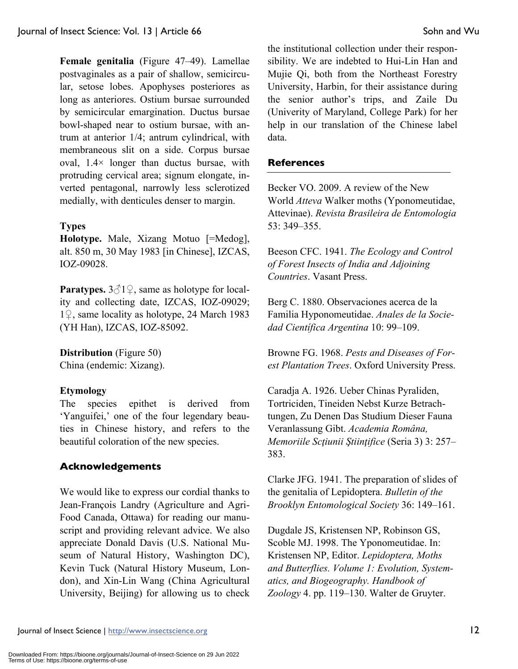**Female genitalia** (Figure 47–49). Lamellae postvaginales as a pair of shallow, semicircular, setose lobes. Apophyses posteriores as long as anteriores. Ostium bursae surrounded by semicircular emargination. Ductus bursae bowl-shaped near to ostium bursae, with antrum at anterior 1/4; antrum cylindrical, with membraneous slit on a side. Corpus bursae oval,  $1.4 \times$  longer than ductus bursae, with protruding cervical area; signum elongate, inverted pentagonal, narrowly less sclerotized medially, with denticules denser to margin.

### **Types**

**Holotype.** Male, Xizang Motuo [=Medog], alt. 850 m, 30 May 1983 [in Chinese], IZCAS, IOZ-09028.

**Paratypes.**  $3\text{ }^{\text{ }^\circ}1\text{ }^{\text{ }^\circ}$ , same as holotype for locality and collecting date, IZCAS, IOZ-09029; 1♀, same locality as holotype, 24 March 1983 (YH Han), IZCAS, IOZ-85092.

**Distribution** (Figure 50) China (endemic: Xizang).

### **Etymology**

The species epithet is derived from 'Yanguifei,' one of the four legendary beauties in Chinese history, and refers to the beautiful coloration of the new species.

### **Acknowledgements**

We would like to express our cordial thanks to Jean-François Landry (Agriculture and Agri-Food Canada, Ottawa) for reading our manuscript and providing relevant advice. We also appreciate Donald Davis (U.S. National Museum of Natural History, Washington DC), Kevin Tuck (Natural History Museum, London), and Xin-Lin Wang (China Agricultural University, Beijing) for allowing us to check the institutional collection under their responsibility. We are indebted to Hui-Lin Han and Mujie Qi, both from the Northeast Forestry University, Harbin, for their assistance during the senior author's trips, and Zaile Du (Univerity of Maryland, College Park) for her help in our translation of the Chinese label data.

#### **References**

Becker VO. 2009. A review of the New World *Atteva* Walker moths (Yponomeutidae, Attevinae). *Revista Brasileira de Entomologia* 53: 349–355.

Beeson CFC. 1941. *The Ecology and Control of Forest Insects of India and Adjoining Countries*. Vasant Press.

Berg C. 1880. Observaciones acerca de la Familia Hyponomeutidae. *Anales de la Sociedad Científica Argentina* 10: 99–109.

Browne FG. 1968. *Pests and Diseases of Forest Plantation Trees*. Oxford University Press.

Caradja A. 1926. Ueber Chinas Pyraliden, Tortriciden, Tineiden Nebst Kurze Betrachtungen, Zu Denen Das Studium Dieser Fauna Veranlassung Gibt. *Academia Româna, Memoriile Scţiunii Ştiinţifice* (Seria 3) 3: 257– 383.

Clarke JFG. 1941. The preparation of slides of the genitalia of Lepidoptera. *Bulletin of the Brooklyn Entomological Society* 36: 149–161.

Dugdale JS, Kristensen NP, Robinson GS, Scoble MJ. 1998. The Yponomeutidae. In: Kristensen NP, Editor. *Lepidoptera, Moths and Butterflies. Volume 1: Evolution, Systematics, and Biogeography. Handbook of Zoology* 4. pp. 119–130. Walter de Gruyter.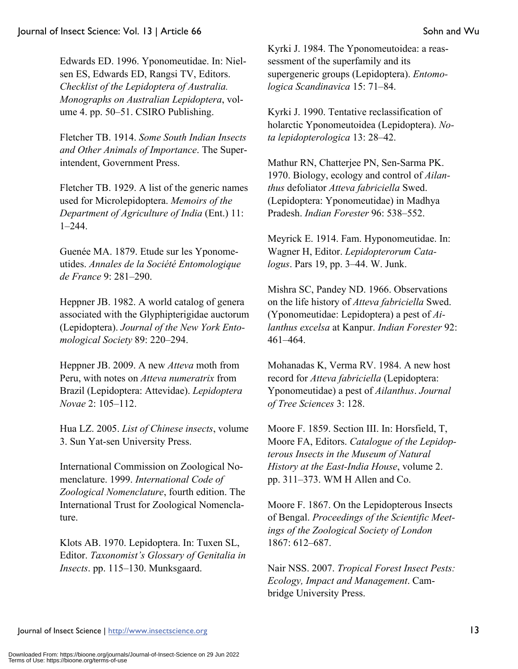Edwards ED. 1996. Yponomeutidae. In: Nielsen ES, Edwards ED, Rangsi TV, Editors. *Checklist of the Lepidoptera of Australia. Monographs on Australian Lepidoptera*, volume 4. pp. 50–51. CSIRO Publishing.

Fletcher TB. 1914. *Some South Indian Insects and Other Animals of Importance*. The Superintendent, Government Press.

Fletcher TB. 1929. A list of the generic names used for Microlepidoptera. *Memoirs of the Department of Agriculture of India* (Ent.) 11: 1–244.

Guenée MA. 1879. Etude sur les Yponomeutides. *Annales de la Société Entomologique de France* 9: 281–290.

Heppner JB. 1982. A world catalog of genera associated with the Glyphipterigidae auctorum (Lepidoptera). *Journal of the New York Entomological Society* 89: 220–294.

Heppner JB. 2009. A new *Atteva* moth from Peru, with notes on *Atteva numeratrix* from Brazil (Lepidoptera: Attevidae). *Lepidoptera Novae* 2: 105–112.

Hua LZ. 2005. *List of Chinese insects*, volume 3. Sun Yat-sen University Press.

International Commission on Zoological Nomenclature. 1999. *International Code of Zoological Nomenclature*, fourth edition. The International Trust for Zoological Nomenclature.

Klots AB. 1970. Lepidoptera. In: Tuxen SL, Editor. *Taxonomist's Glossary of Genitalia in Insects*. pp. 115–130. Munksgaard.

Kyrki J. 1984. The Yponomeutoidea: a reassessment of the superfamily and its supergeneric groups (Lepidoptera). *Entomologica Scandinavica* 15: 71–84.

Kyrki J. 1990. Tentative reclassification of holarctic Yponomeutoidea (Lepidoptera). *Nota lepidopterologica* 13: 28–42.

Mathur RN, Chatterjee PN, Sen-Sarma PK. 1970. Biology, ecology and control of *Ailanthus* defoliator *Atteva fabriciella* Swed. (Lepidoptera: Yponomeutidae) in Madhya Pradesh. *Indian Forester* 96: 538–552.

Meyrick E. 1914. Fam. Hyponomeutidae. In: Wagner H, Editor. *Lepidopterorum Catalogus*. Pars 19, pp. 3–44. W. Junk.

Mishra SC, Pandey ND. 1966. Observations on the life history of *Atteva fabriciella* Swed. (Yponomeutidae: Lepidoptera) a pest of *Ailanthus excelsa* at Kanpur. *Indian Forester* 92: 461–464.

Mohanadas K, Verma RV. 1984. A new host record for *Atteva fabriciella* (Lepidoptera: Yponomeutidae) a pest of *Ailanthus*. *Journal of Tree Sciences* 3: 128.

Moore F. 1859. Section III. In: Horsfield, T, Moore FA, Editors. *Catalogue of the Lepidopterous Insects in the Museum of Natural History at the East-India House*, volume 2. pp. 311–373. WM H Allen and Co.

Moore F. 1867. On the Lepidopterous Insects of Bengal. *Proceedings of the Scientific Meetings of the Zoological Society of London* 1867: 612–687.

Nair NSS. 2007. *Tropical Forest Insect Pests: Ecology, Impact and Management*. Cambridge University Press.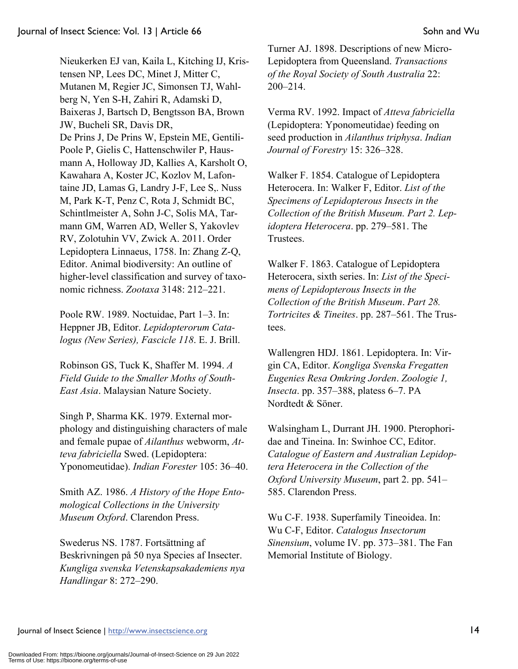Nieukerken EJ van, Kaila L, Kitching IJ, Kristensen NP, Lees DC, Minet J, Mitter C, Mutanen M, Regier JC, Simonsen TJ, Wahlberg N, Yen S-H, Zahiri R, Adamski D, Baixeras J, Bartsch D, Bengtsson BA, Brown JW, Bucheli SR, Davis DR, De Prins J, De Prins W, Epstein ME, Gentili-Poole P, Gielis C, Hattenschwiler P, Hausmann A, Holloway JD, Kallies A, Karsholt O, Kawahara A, Koster JC, Kozlov M, Lafontaine JD, Lamas G, Landry J-F, Lee S,. Nuss M, Park K-T, Penz C, Rota J, Schmidt BC, Schintlmeister A, Sohn J-C, Solis MA, Tarmann GM, Warren AD, Weller S, Yakovlev RV, Zolotuhin VV, Zwick A. 2011. Order Lepidoptera Linnaeus, 1758. In: Zhang Z-Q, Editor. Animal biodiversity: An outline of higher-level classification and survey of taxonomic richness. *Zootaxa* 3148: 212–221.

Poole RW. 1989. Noctuidae, Part 1–3. In: Heppner JB, Editor. *Lepidopterorum Catalogus (New Series), Fascicle 118*. E. J. Brill.

Robinson GS, Tuck K, Shaffer M. 1994. *A Field Guide to the Smaller Moths of South-East Asia*. Malaysian Nature Society.

Singh P, Sharma KK. 1979. External morphology and distinguishing characters of male and female pupae of *Ailanthus* webworm, *Atteva fabriciella* Swed. (Lepidoptera: Yponomeutidae). *Indian Forester* 105: 36–40.

Smith AZ. 1986. *A History of the Hope Entomological Collections in the University Museum Oxford*. Clarendon Press.

Swederus NS. 1787. Fortsättning af Beskrivningen på 50 nya Species af Insecter. *Kungliga svenska Vetenskapsakademiens nya Handlingar* 8: 272–290.

Turner AJ. 1898. Descriptions of new Micro-Lepidoptera from Queensland. *Transactions of the Royal Society of South Australia* 22: 200–214.

Verma RV. 1992. Impact of *Atteva fabriciella* (Lepidoptera: Yponomeutidae) feeding on seed production in *Ailanthus triphysa*. *Indian Journal of Forestry* 15: 326–328.

Walker F. 1854. Catalogue of Lepidoptera Heterocera. In: Walker F, Editor. *List of the Specimens of Lepidopterous Insects in the Collection of the British Museum. Part 2. Lepidoptera Heterocera*. pp. 279–581. The Trustees.

Walker F. 1863. Catalogue of Lepidoptera Heterocera, sixth series. In: *List of the Specimens of Lepidopterous Insects in the Collection of the British Museum*. *Part 28. Tortricites & Tineites*. pp. 287–561. The Trustees.

Wallengren HDJ. 1861. Lepidoptera. In: Virgin CA, Editor. *Kongliga Svenska Fregatten Eugenies Resa Omkring Jorden*. *Zoologie 1, Insecta*. pp. 357–388, platess 6–7. PA Nordtedt & Söner.

Walsingham L, Durrant JH. 1900. Pterophoridae and Tineina. In: Swinhoe CC, Editor. *Catalogue of Eastern and Australian Lepidoptera Heterocera in the Collection of the Oxford University Museum*, part 2. pp. 541– 585. Clarendon Press.

Wu C-F. 1938. Superfamily Tineoidea. In: Wu C-F, Editor. *Catalogus Insectorum Sinensium*, volume IV. pp. 373–381. The Fan Memorial Institute of Biology.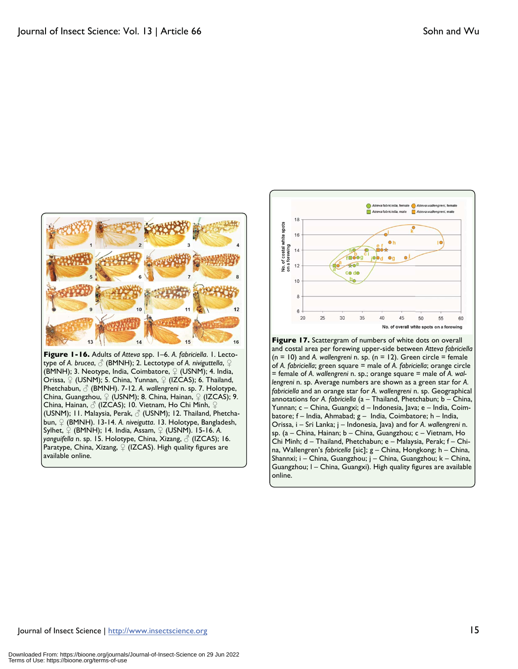

**Figure 1-16.** Adults of *Atteva* spp. 1–6. *A. fabriciella*. 1. Lectotype of *A. brucea*, ♂ (BMNH); 2. Lectotype of *A. niviguttella*, ♀ (BMNH); 3. Neotype, India, Coimbatore,  $\mathcal{Q}$  (USNM); 4. India, Orissa,  $\mathcal{Q}$  (USNM); 5. China, Yunnan,  $\mathcal{Q}$  (IZCAS); 6. Thailand, Phetchabun, ♂ (BMNH). 7-12. *A. wallengreni* n. sp. 7. Holotype, China, Guangzhou,  $\mathcal{Q}$  (USNM); 8. China, Hainan,  $\mathcal{Q}$  (IZCAS); 9. China, Hainan, ♂ (IZCAS); 10. Vietnam, Ho Chi Minh, ♀ (USNM); 11. Malaysia, Perak, ♂ (USNM); 12. Thailand, Phetchabun, ♀ (BMNH). 13-14. *A. niveigutta*. 13. Holotype, Bangladesh, Sylhet, ♀ (BMNH); 14. India, Assam, ♀ (USNM). 15-16. *A. yanguifella* n. sp. 15. Holotype, China, Xizang, ♂ (IZCAS); 16. Paratype, China, Xizang,  $\mathcal{Q}$  (IZCAS). High quality figures are available online.



= female of *A. wallengreni* n. sp.; orange square = male of *A. wallengreni* n. sp. Average numbers are shown as a green star for *A. fabriciella* and an orange star for *A. wallengreni* n. sp. Geographical annotations for *A. fabriciella* (a – Thailand, Phetchabun; b – China, Yunnan; c – China, Guangxi; d – Indonesia, Java; e – India, Coimbatore; f – India, Ahmabad; g – India, Coimbatore; h – India, Orissa, i – Sri Lanka; j – Indonesia, Java) and for *A. wallengreni* n. sp. (a – China, Hainan; b – China, Guangzhou; c – Vietnam, Ho Chi Minh; d – Thailand, Phetchabun; e – Malaysia, Perak; f – China, Wallengren's *fabricella* [sic]; g – China, Hongkong; h – China, Shannxi; i – China, Guangzhou; j – China, Guangzhou; k – China, Guangzhou; l – China, Guangxi). High quality figures are available online.